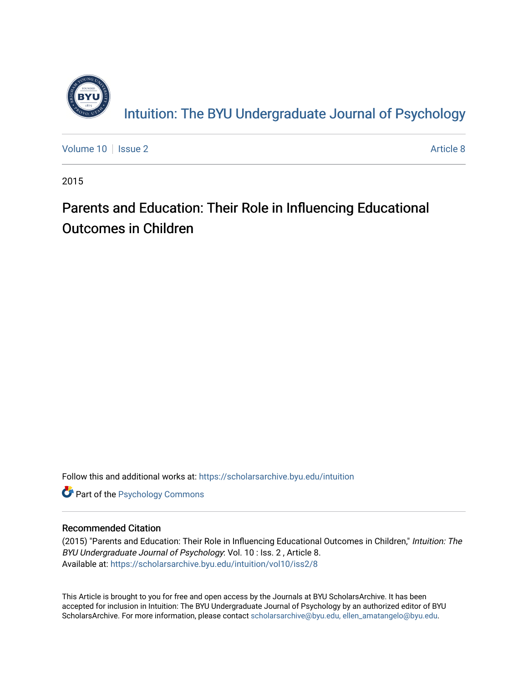

[Volume 10](https://scholarsarchive.byu.edu/intuition/vol10) | [Issue 2](https://scholarsarchive.byu.edu/intuition/vol10/iss2) Article 8

2015

## Parents and Education: Their Role in Influencing Educational Outcomes in Children

Follow this and additional works at: [https://scholarsarchive.byu.edu/intuition](https://scholarsarchive.byu.edu/intuition?utm_source=scholarsarchive.byu.edu%2Fintuition%2Fvol10%2Fiss2%2F8&utm_medium=PDF&utm_campaign=PDFCoverPages) 

**Part of the Psychology Commons** 

## Recommended Citation

(2015) "Parents and Education: Their Role in Influencing Educational Outcomes in Children," Intuition: The BYU Undergraduate Journal of Psychology: Vol. 10 : Iss. 2 , Article 8. Available at: [https://scholarsarchive.byu.edu/intuition/vol10/iss2/8](https://scholarsarchive.byu.edu/intuition/vol10/iss2/8?utm_source=scholarsarchive.byu.edu%2Fintuition%2Fvol10%2Fiss2%2F8&utm_medium=PDF&utm_campaign=PDFCoverPages) 

This Article is brought to you for free and open access by the Journals at BYU ScholarsArchive. It has been accepted for inclusion in Intuition: The BYU Undergraduate Journal of Psychology by an authorized editor of BYU ScholarsArchive. For more information, please contact [scholarsarchive@byu.edu, ellen\\_amatangelo@byu.edu.](mailto:scholarsarchive@byu.edu,%20ellen_amatangelo@byu.edu)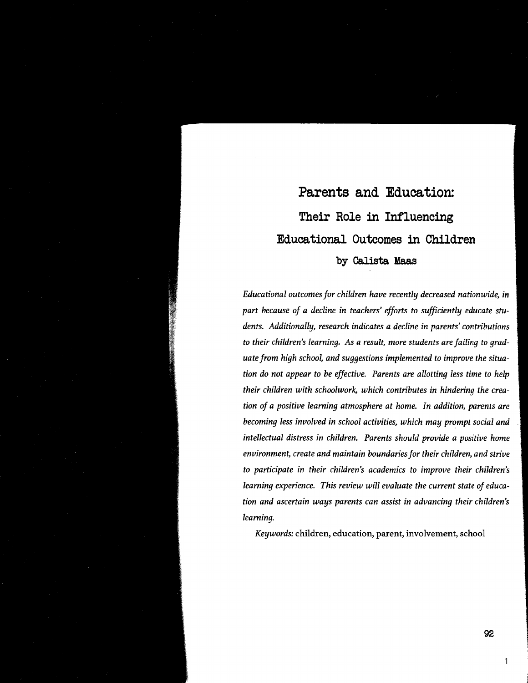# Parents and Education: **Their Role in Influencing Educational Outcomes in Children**  by Calista Maas

*Educational outcomes for children have recently decreased nationwide,* in *part because of a decline in teachers' efforts to sufficiently educate students. Additionally, research indicates a decline in parents' contributions to their children's learning. As a result, more students are failing to graduate from high school, and suggestions implemented to improve the situation do not appear to be effective. Parents are allotting less time to help their children with schoolwork, which contributes in hindering the creation of a positive learning atmosphere at home. In addition, parents are becoming less involved in school activities, which may prompt social and intellectual distress in children. Parents should provide a positive home environment, create and maintain boundaries for their children, and strive to participate in their children's academics to improve their children's learning experience. This review will evaluate the current state of education and ascertain ways parents can assist in advancing their children's learning.* 

*Keywords:* children, education, parent, involvement, school

1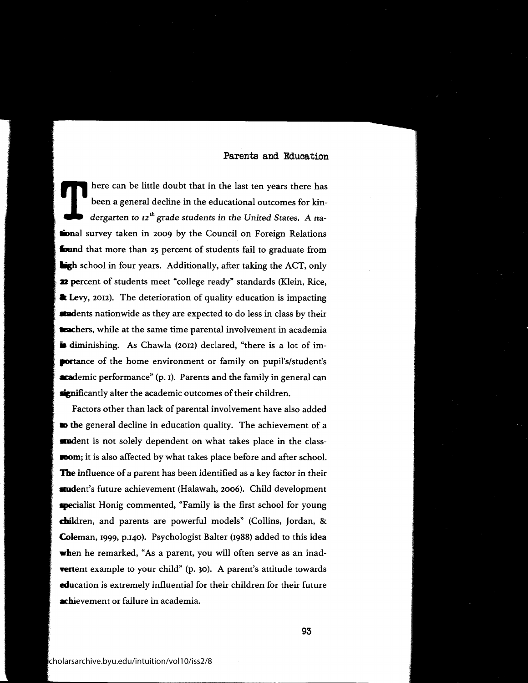$\sum_{\text{deep}}^{\text{here}}$ here can be little doubt that in the last ten years there has been a general decline in the educational outcomes for kindergarten to  $I2^{th}$  grade students in the United States. A na**lional** survey taken in 2009 by the Council on Foreign Relations **found** that more than 25 percent of students fail to graduate from **ligh** school in four years. Additionally, after taking the ACT, only **:a** percent of students meet "college ready" standards (Klein, Rice, **a Levy, 2012).** The deterioration of quality education is impacting **atudents** nationwide as they are expected to do less in class by their trachers, while at the same time parental involvement in academia **is diminishing.** As Chawla (2012) declared, "there is a lot of im**portance** of the home environment or family on pupil's/student's **academic** performance" (p. 1). Parents and the family in general can significantly alter the academic outcomes of their children.

Factors other than lack of parental involvement have also added **to the general decline in education quality. The achievement of a audent** is not solely dependent on what takes place in the class**room**; it is also affected by what takes place before and after school. **The** influence of a parent has been identified as a key factor in their student's future achievement (Halawah, 2006). Child development specialist Honig commented, "Family is the first school for young children, and parents are powerful models" (Collins, Jordan, & Coleman, 1999, p.140). Psychologist Balter (1988) added to this idea **when** he remarked, "As a parent, you will often serve as an inad**vertent example to your child"** (p. 30). A parent's attitude towards education is extremely influential for their children for their future achievement or failure in academia.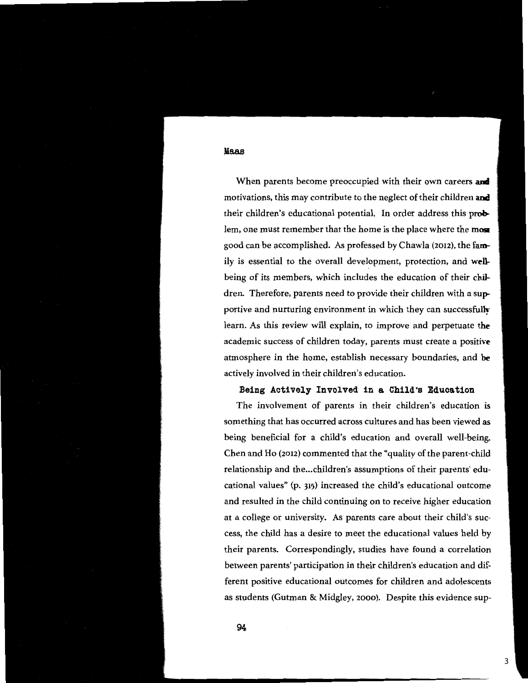When parents become preoccupied with their own careers **and**  motivations, this may contribute to the neglect of their children **and**  their children's educational potential. In order address this **prob**lem, one must remember that the home is the place where the **moa**  good can be accomplished. As professed by Chawla (2012), the **fam**ily is essential to the overall development, protection, and **well**being of its members, which includes the education of their children. Therefore, parents need to provide their children with a **sup**portive and nurturing environment in which they can successfully learn. As this review will explain, to improve and perpetuate **the**  academic success of children today, parents must create a positive atmosphere in the home, establish necessary boundaries, and **be**  actively involved in their children's education.

## **Being Actively Involved in a Child's Bducation**

The involvement of parents in their children's education is something that has occurred across cultures and has been vjewed **as**  being beneficial for a child's education and overall well-being. Chen and Ho (2012) commented that the "quality of the parent-child relationship and the...children's assumptions of their parents' educational values" (p. 315) increased the child's educational outcome and resulted in the child continuing on to receive higher education at a college or university. As parents care about their child's success, the child has a desire to meet the educational values held by their parents. Correspondingly, studies have found a correlation between parents' participation in their children's education and different positive educational outcomes for children and adolescents as students (Gutman & Midgley, 2000). Despite this evidence sup-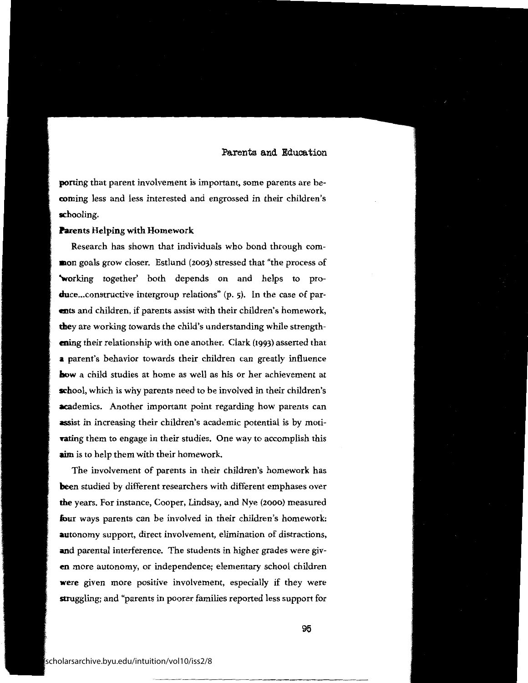porting that parent involvement is important, some parents are becoming less and less interested and engrossed in their children's schooling.

#### **Parents** Helping with Homework

Research has shown that individuals who bond through com**mon** goals grow closer. Estlund (2003) stressed that "the process of "working together' both depends on and helps to produce... constructive intergroup relations" (p. 5). In the case of par**ents** and children, if parents assist with their children's homework, **they** are working towards the child's understanding while strength**ening** their relationship with one another. Clark (1993) asserted that **<sup>a</sup>**paren<sup>t</sup>'s behavior towards their children can greatly influence **how** a child studies at home as well as his or her achievement at **school,** which is why parents need to be involved in their children's **academics.** Another important point regarding how parents can assist in increasing their children's academic potential is by moti**vating** them to engage in their studies. One way to accomplish this **aim** is to help them with their homework.

The involvement of parents in their children's homework has **been** studied by different researchers with different emphases over **the** years. For instance, Cooper, Lindsay, and Nye (2000) measured **four** ways parents can be involved in their children's homework: **autonomy** support, direct involvement, elimination of distractions, **and** parental interference. The students in higher grades were giv**en** more autonomy, or independence; elementary school children **were** given more positive involvement, especially if they were struggling; and "parents in poorer families reported less support for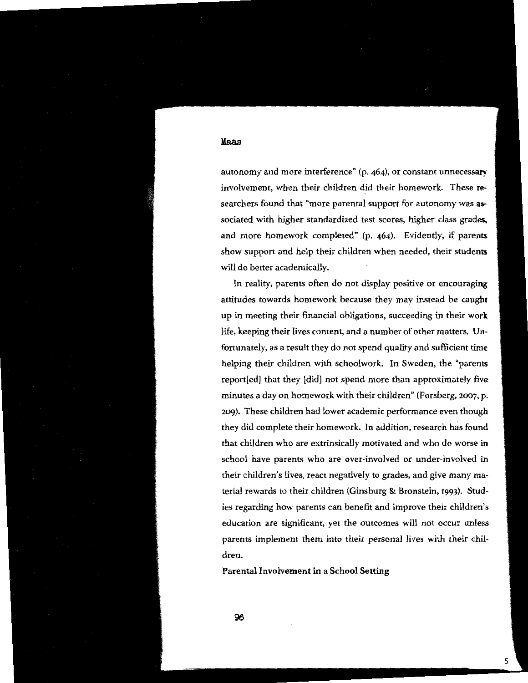autonomy and more interference" (p. 464), or constant unnecessary involvement, when their children did their homework. These **re-** searchers found that "more parental support for autonomy was **as**sociated with higher standardized test scores, higher class grades. and more homework completed" (p. 464). Evidently, if parents show support and help their children when needed, their students will do better academically.

In reality, parents often do not display positive or encouraging attitudes towards homework because they may instead be caught up in meeting their financial obligations, succeeding in their **work**  life, keeping their lives content, and a number of other matters. Unfortunately, as a result they do not spend quality and sufficient time helping their children with schoolwork. In Sweden, the "parents report[ed] that they [did] not spend more than approximately five minutes a day on homework with their children" (Forsberg, 2007, p. 209). These children had lower academic performance even though they did complete their homework. In addition, research has found that children who are extrinsically motivated and who do worse in school have parents who are over-involved or under-involved in their children's lives, react negatively to grades, and give many material rewards to their children (Ginsburg & Bronstein, 1993). Studies regarding how parents can benefit and improve their children's education are significant, yet the outcomes will not occur unless parents implement them into their personal lives with their children.

5

**Parental Involvement in a School Setting** 

Published by BYU ScholarsArchive, 2015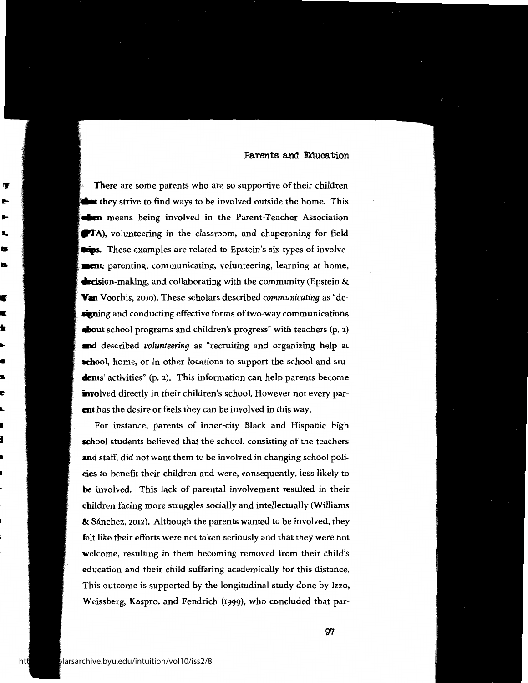**There** are some parents who are so supportive of their children **they** strive to find ways to be involved outside the home. This **ffen** means being involved in the Parent-Teacher Association **9TA**), volunteering in the classroom, and chaperoning for field **ltips.** These examples are related to Epstein's six types of involve**and a** parenting, communicating, volunteering, learning at home, **decision-making, and collaborating with the community (Epstein & Yan** Voorhis, 2010). These scholars described *communicating* as "de**ligning** and conducting effective forms of two-way communications **ahout** school programs and children's progress" with teachers (p. 2) **and** described *volunteering* as "recruiting and organizing help at **school**, home, or in other locations to support the school and stu**dents'** activities" (p. 2). This information can help parents become involved directly in their children's school. However not every par**ent** has the desire or feels they can be involved in this way.

For instance, parents of inner-city Black and Hispanic high school students believed that the school, consisting of the teachers **and** staff, did not want them to be involved in changing school policies to benefit their children and were, consequently, less likely to **be** involved. This lack of parental involvement resulted in their children facing more struggles socially and intellectually (Williams & Sánchez, 2012). Although the parents wanted to be involved, they **felt** like their efforts were not taken seriously and that they were not welcome, resulting in them becoming removed from their child's education and their child suffering academically for this distance. This outcome is supported by the longitudinal study done by Izzo, Weissberg, Kaspro, and Fendrich (1999), who concluded that par-

**ry el-**

**'** • •

• • <sup>~</sup> .. If: • **lie** 

.. **d** 

k.

• **n l-**I- **'s**  IS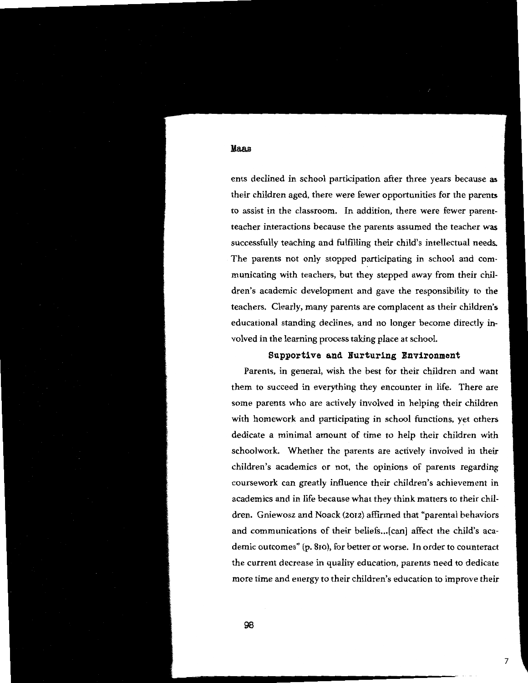ents declined in school participation after three years because **as**  their children aged, there were fewer opportunities for the parents to assist in the classroom. In addition, there were fewer parentteacher interactions because the parents assumed the teacher **was**  successfully teaching and fulfilling their child's intellectual needs. The parents not only stopped participating in school and communicating with teachers, but they stepped away from their children's academic development and gave the responsibility to the teachers. Clearly, many parents are complacent as their children's educational standing declines, and no longer become directly involved in the learning process taking place at school.

## **Supportive and Nurturing Environment**

Parents, in general, wish the best for their children and want them to succeed in everything they encounter in life. There are some parents who are actively involved in helping their children with homework and participating in school functions, yet others dedicate a minimal amount of time to help their children with schoolwork. Whether the parents are actively involved in their children's academics or not, the opinions of parents regarding coursework can greatly influence their children's achievement in academics and in life because what they think matters to their children. Gniewosz and Noack (2012) affirmed that "parental behaviors and communications of their beliefs ... [can] affect the child's academic outcomes" (p. 810), for better or worse. In order to counteract the current decrease in quality education, parents need to dedicate more time and energy to their children's education to improve their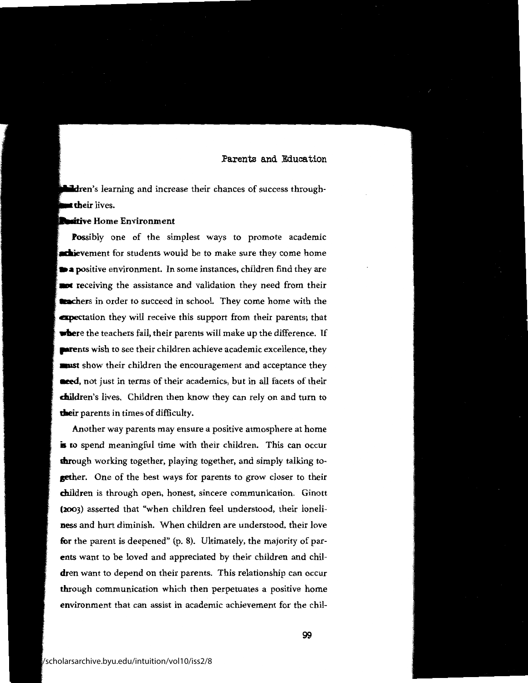**n'dion**'s learning and increase their chances of success through**t their** lives.

#### **sitive** Home Environment

**Possibly** one of the simplest ways to promote academic **nchievement for students would be to make sure they come home •a positive** environment. In some instances, children find they are **and** receiving the assistance and validation they need from their **trachers** in order to succeed in school. They come home with the **apectation** they will receive this support from their parents; that **where** the teachers fail, their parents will make up the difference. If **parents** wish to see their children achieve academic excellence, they **aust** show their children the encouragement and acceptance they **aeed,** not just in terms of their academics, but in all facets of their **daildren's** lives. Children then know they can rely on and tum to **dleir** parents in times of difficulty.

Another way parents may ensure a positive atmosphere at home is to spend meaningful time with their children. This can occur **through** working together, playing together, and simply talking to**gether.** One of the best ways for parents to grow closer to their **ch**ildren is through open, honest, sincere communication. Ginott **(2003)** asserted that "when children feel understood, their loneli**ness** and hurt diminish. When children are understood, their love **for** the parent is deepened" (p. 8). Ultimately, the majority of par**ents** want to be loved and appreciated by their children and chil**dren** want to depend on their parents. This relationship can occur through communication which then perpetuates a positive home environment that can assist in academic achievement for the chil-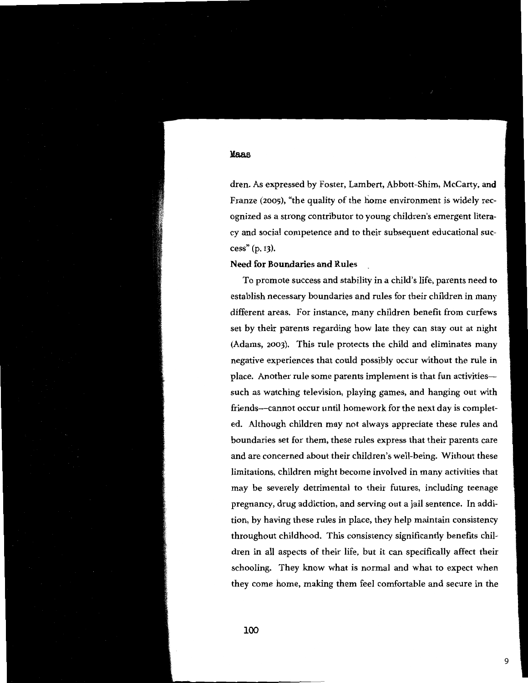dren. As expressed by Foster, Lambert, Abbott-Shim, McCarty, **and**  Franze (2005), "the quality of the home environment is widely recognized as a strong contributor to young children's emergent literacy and social competence and to their subsequent educational success" (p. 13).

#### **Need for Boundaries and Rules**

To promote success and stability in a child's life, parents need to establish necessary boundaries and rules for their children in many different areas. For instance, many children benefit from curfews set by their parents regarding how late they can stay out at night (Adams, 2003). This rule protects the child and eliminates many negative experiences that could possibly occur without the rule in place. Another rule some parents implement is that fun activitiessuch as watching television, playing games, and hanging out with friends-cannot occur until homework for the next day is completed. Although children may not always appreciate these rules and boundaries set for them, these rules express that their parents care and are concerned about their children's well-being. Without these limitations, children might become involved in many activities that may be severely detrimental to their futures, including teenage pregnancy, drug addiction, and serving out a jail sentence. In addition, by having these rules in place, they help maintain consistency throughout childhood. This consistency significantly benefits children in all aspects of their life, but it can specifically affect their schooling. They know what is normal and what to expect when they come home, making them feel comfortable and secure in the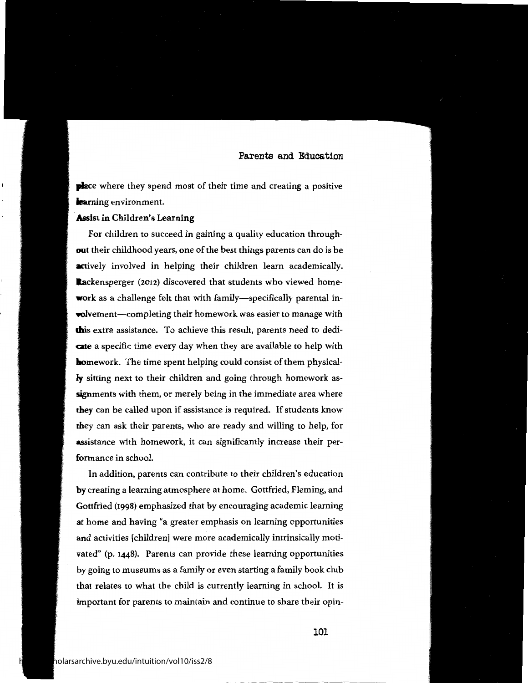**place** where they spend most of their time and creating a positive **learning** environment.

## **Assist in Children's Learning**

l

For children to succeed in gaining a quality education through**out** their childhood years, one of the best things parents can do is be **actively** involved in helping their children learn academically. **Rackensperger** (2012) discovered that students who viewed home**work** as a challenge felt that with family—specifically parental in**volvement—completing their homework was easier to manage with this** extra assistance. To achieve this result, parents need to dedi**cate** a specific time every day when they are available to help with **homework.** The time spent helping could consist of them physical**ly** sitting next to their children and going through homework assignments with them, or merely being in the immediate area where **they** can be called upon if assistance is required. If students know **they** can ask their parents, who are ready and willing to help, for assistance with homework, it can significantly increase their performance in school.

In addition, parents can contribute to their children's education **by** creating a learning atmosphere at home. Gottfried, Fleming, and Gottfried (1998) emphasized that by encouraging academic learning **at** home and having "a greater emphasis on learning opportunities **and** activities [children] were more academically intrinsically motivated" (p. 1448). Parents can provide these learning opportunities by going to museums as a family or even starting a family book club that relates to what the child is currently learning in school. It is important for parents to maintain and continue to share their opin-

101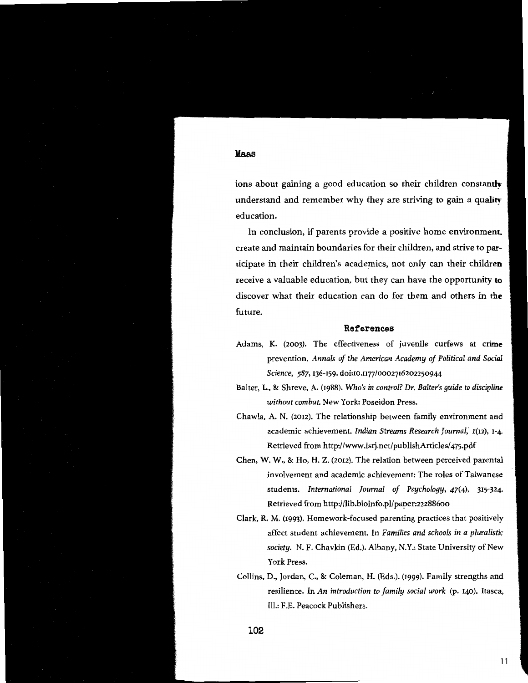ions about gaining a good education so their children constantly understand and remember why they are striving to gain a quality education.

In conclusion, if parents provide a positive home environment. create and maintain boundaries for their children, and strive to **par**ticipate in their children's academics, not only can their **children**  receive a valuable education, but they can have the opportunity **to**  discover what their education can do for them and others in **the**  future.

#### **References**

- Adams, K. (2003). The effectiveness of juvenile curfews at crime prevention. *Annals of the American Academy of Political and Social Science, 587,* 136-159. doi:10.n77/0002716202250944
- Balter, L., & Shreve, A. (1988). *Who's in control? Dr. Baiter's guide to discipline without combat.* New York: Poseidon Press.
- Chawla, A. N. (2012). The relationship between family environment and academic achievement. *Indian Streams Research Journal*, 1(12), 1-4. Retrieved from http://www.isrj.net/publishArticles/ 475.pdf
- Chen, **W. W.,** & Ho, **H.** Z. (2012). The relation between perceived parental involvement and academic achievement: The roles of Taiwanese students. *International Journal of Psychology, 47(4),* 315-324- Retrieved from http:/ /lib.bioinfo.pl/paper:22288600
- Clark, R. M. (1993). Homework-focused parenting practices that positively affect student achievement. In *Families and schools in a pluralistic society.* N. F. Chavkin (Ed.). Albany, N.Y.: State University of New York Press.
- Collins, D., Jordan, C., & Coleman, H. (Eds.). (1999). Family strengths and resilience. In *An introduction to family social work* (p. 140). Itasca, Ill.: F.E. Peacock Publishers.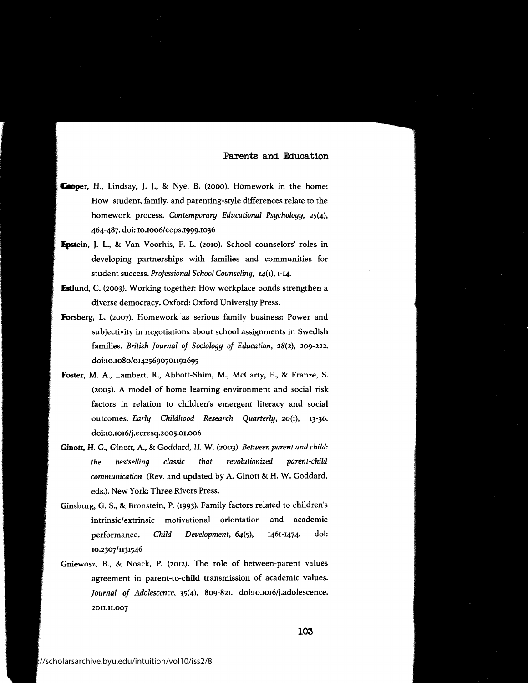- Cooper, H., Lindsay, J. J., & Nye, B. (2000). Homework in the home: How student, family, and parenting-style differences relate to the homework process. *Contemporary Educational Psychology,* 25(4), 464-487. doi: 10.1006/ceps.1999.1036
- Epstein, J. L., & Van Voorhis, F. L. (2010). School counselors' roles in developing partnerships with families and communities for student success. *Professional School Counseling,* 14(1), 1-14.
- **Estlund,** C. (2003). Working together: How workplace bonds strengthen a diverse democracy. Oxford: Oxford University Press.
- **Forsberg,** L. (2007). Homework as serious family business: Power and subjectivity in negotiations about school assignments in Swedish families. *British Journal of Sociology of Education,* 28(2), 209-222. doi:10.1080/01425690701192695
- **foster,** M. A., Lambert, R., Abbott-Shim, M., McCarty, F., & Franze, S. (2005). A model of home learning environment and social risk factors in relation to children's emergent literacy and social outcomes. *Early Childhood Research Quarterly,* 20(1), 13-36. doi:10.1016/j.ecresq.2005.01.006
- **Ginott,** H. G., Ginott, A., & Goddard, H. W. (2003). *Between parent and child: the bestselling classic that revolutionized parent-child communication* (Rev. and updated by A. Ginott & H. W. Goddard, eds.). New York: Three Rivers Press.
- Ginsburg, G. S., & Bronstein, P. (1993). Family factors related to children's intrinsic/extrinsic motivational orientation and academic performance. 10.2307/1131546 *Child Development,* 64(5), 1461-1474. doi:
- Gniewosz, B., & Noack, P. (2012). The role of between-parent values agreement in parent-to-child transmission of academic values. *Journal of Adolescence, 35(4),* 809-821. doi:10.1016/j.adolescence. 2011.11.007

**103**